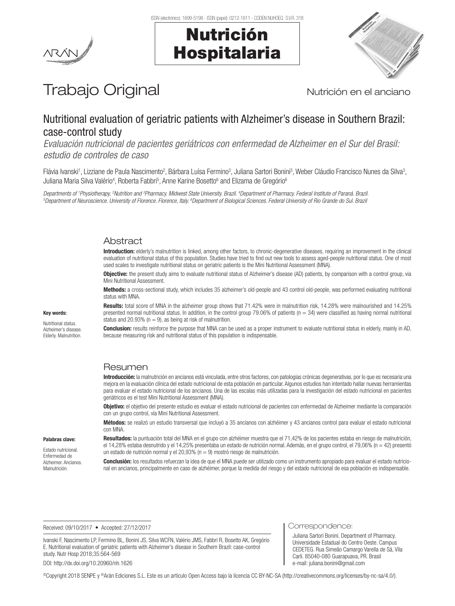



# Trabajo Original Nutrición en el anciano

# Nutritional evaluation of geriatric patients with Alzheimer's disease in Southern Brazil: case-control study

*Evaluación nutricional de pacientes geriátricos con enfermedad de Alzheimer en el Sur del Brasil: estudio de controles de caso*

Flávia Ivanski<sup>1</sup>, Lizziane de Paula Nascimento<sup>2</sup>, Bárbara Luísa Fermino<sup>3</sup>, Juliana Sartori Bonini<sup>3</sup>, Weber Cláudio Francisco Nunes da Silva<sup>3</sup>, Juliana Maria Silva Valério<sup>4</sup>, Roberta Fabbri<sup>5</sup>, Anne Karine Bosetto<sup>6</sup> and Elizama de Gregório<sup>6</sup>

Departments of †Physiotherapy, <sup>2</sup>Nutrition and <sup>3</sup>Pharmacy. Midwest State University. Brazil. 4Department of Pharmacy. Federal Institute of Paraná. Brazil.<br><sup>5</sup>Department of Neuroscience, University of Florence, Florence, Department of Neuroscience. University of Florence. Florence, Italy. <sup>6</sup>Department of Biological Sciences. Federal University of Rio Grande do Sul. Brazi

# Abstract

Introduction: elderly's malnutrition is linked, among other factors, to chronic-degenerative diseases, requiring an improvement in the clinical evaluation of nutritional status of this population. Studies have tried to find out new tools to assess aged-people nutritional status. One of most used scales to investigate nutritional status on geriatric patients is the Mini Nutritional Assessment (MNA).

**Objective:** the present study aims to evaluate nutritional status of Alzheimer's disease (AD) patients, by comparison with a control group, via Mini Nutritional Assessment.

Methods: a cross-sectional study, which includes 35 alzheimer's old-people and 43 control old-people, was performed evaluating nutritional status with MNA.

Results: total score of MNA in the alzheimer group shows that 71.42% were in malnutrition risk, 14.28% were malnourished and 14.25% presented normal nutritional status. In addition, in the control group 79.06% of patients  $(n = 34)$  were classified as having normal nutritional status and 20.93% ( $n = 9$ ), as being at risk of malnutrition.

Conclusion: results reinforce the purpose that MNA can be used as a proper instrument to evaluate nutritional status in elderly, mainly in AD, because measuring risk and nutritional status of this population is indispensable.

## Resumen

Introducción: la malnutrición en ancianos está vinculada, entre otros factores, con patologías crónicas degenerativas, por lo que es necesaria una mejora en la evaluación clínica del estado nutricional de esta población en particular. Algunos estudios han intentado hallar nuevas herramientas para evaluar el estado nutricional de los ancianos. Una de las escalas más utilizadas para la investigación del estado nutricional en pacientes geriátricos es el test Mini Nutritional Assessment (MNA).

Objetivo: el objetivo del presente estudio es evaluar el estado nutricional de pacientes con enfermedad de Alzheimer mediante la comparación con un grupo control, vía Mini Nutritional Assessment.

Métodos: se realizó un estudio transversal que incluyó a 35 ancianos con alzhéimer y 43 ancianos control para evaluar el estado nutricional con MNA.

Palabras clave:

Key words: Nutritional status. Alzheimer's disease. Elderly. Malnutrition.

Estado nutricional. Enfermedad de Alzheimer. Ancianos. Malnutrición.

Resultados: la puntuación total del MNA en el grupo con alzhéimer muestra que el 71,42% de los pacientes estaba en riesgo de malnutrición, el 14,28% estaba desnutrido y el 14,25% presentaba un estado de nutrición normal. Además, en el grupo control, el 79,06% (n = 42) presentó un estado de nutrición normal y el 20,93% (n = 9) mostró riesgo de malnutrición.

Conclusión: los resultados refuerzan la idea de que el MNA puede ser utilizado como un instrumento apropiado para evaluar el estado nutricional en ancianos, principalmente en caso de alzhéimer, porque la medida del riesgo y del estado nutricional de esa población es indispensable.

Received: 09/10/2017 • Accepted: 27/12/2017

Ivanski F, Nascimento LP, Fermino BL, Bonini JS, Silva WCFN, Valério JMS, Fabbri R, Bosetto AK, Gregório E. Nutritional evaluation of geriatric patients with Alzheimer's disease in Southern Brazil: case-control study. Nutr Hosp 2018;35:564-569

DOI: http://dx.doi.org/10.20960/nh.1626

Correspondence:

Juliana Sartori Bonini. Department of Pharmacy. Universidade Estadual do Centro Oeste. Campus CEDETEG. Rua Simeão Camargo Varella de Sá, Vila Carli. 85040-080 Guarapuava, PR. Brasil e-mail: juliana.bonini@gmail.com

©Copyright 2018 SENPE y ©Arán Ediciones S.L. Este es un artículo Open Access bajo la licencia CC BY-NC-SA (http://creativecommons.org/licenses/by-nc-sa/4.0/).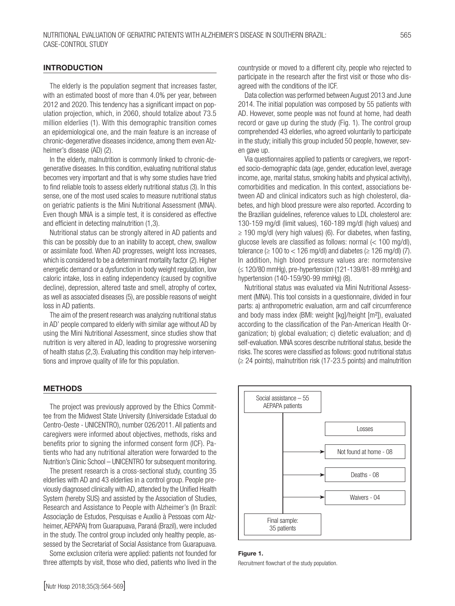#### **INTRODUCTION**

The elderly is the population segment that increases faster, with an estimated boost of more than 4.0% per year, between 2012 and 2020. This tendency has a significant impact on population projection, which, in 2060, should totalize about 73.5 million elderlies (1). With this demographic transition comes an epidemiological one, and the main feature is an increase of chronic-degenerative diseases incidence, among them even Alzheimer's disease (AD) (2).

In the elderly, malnutrition is commonly linked to chronic-degenerative diseases. In this condition, evaluating nutritional status becomes very important and that is why some studies have tried to find reliable tools to assess elderly nutritional status (3). In this sense, one of the most used scales to measure nutritional status on geriatric patients is the Mini Nutritional Assessment (MNA). Even though MNA is a simple test, it is considered as effective and efficient in detecting malnutrition (1,3).

Nutritional status can be strongly altered in AD patients and this can be possibly due to an inability to accept, chew, swallow or assimilate food. When AD progresses, weight loss increases, which is considered to be a determinant mortality factor (2). Higher energetic demand or a dysfunction in body weight regulation, low caloric intake, loss in eating independency (caused by cognitive decline), depression, altered taste and smell, atrophy of cortex, as well as associated diseases (5), are possible reasons of weight loss in AD patients.

The aim of the present research was analyzing nutritional status in AD' people compared to elderly with similar age without AD by using the Mini Nutritional Assessment, since studies show that nutrition is very altered in AD, leading to progressive worsening of health status (2,3). Evaluating this condition may help interventions and improve quality of life for this population.

#### **METHODS**

The project was previously approved by the Ethics Committee from the Midwest State University (Universidade Estadual do Centro-Oeste - UNICENTRO), number 026/2011. All patients and caregivers were informed about objectives, methods, risks and benefits prior to signing the informed consent form (ICF). Patients who had any nutritional alteration were forwarded to the Nutrition's Clinic School – UNICENTRO for subsequent monitoring.

The present research is a cross-sectional study, counting 35 elderlies with AD and 43 elderlies in a control group. People previously diagnosed clinically with AD, attended by the Unified Health System (hereby SUS) and assisted by the Association of Studies, Research and Assistance to People with Alzheimer's (In Brazil: Associação de Estudos, Pesquisas e Auxílio à Pessoas com Alzheimer, AEPAPA) from Guarapuava, Paraná (Brazil), were included in the study. The control group included only healthy people, assessed by the Secretariat of Social Assistance from Guarapuava.

Some exclusion criteria were applied: patients not founded for three attempts by visit, those who died, patients who lived in the

[Nutr Hosp 2018;35(3):564-569]

countryside or moved to a different city, people who rejected to participate in the research after the first visit or those who disagreed with the conditions of the ICF.

Data collection was performed between August 2013 and June 2014. The initial population was composed by 55 patients with AD. However, some people was not found at home, had death record or gave up during the study (Fig. 1). The control group comprehended 43 elderlies, who agreed voluntarily to participate in the study; initially this group included 50 people, however, seven gave up.

Via questionnaires applied to patients or caregivers, we reported socio-demographic data (age, gender, education level, average income, age, marital status, smoking habits and physical activity), comorbidities and medication. In this context, associations between AD and clinical indicators such as high cholesterol, diabetes, and high blood pressure were also reported. According to the Brazilian guidelines, reference values to LDL cholesterol are: 130-159 mg/dl (limit values), 160-189 mg/dl (high values) and  $\geq$  190 mg/dl (very high values) (6). For diabetes, when fasting, glucose levels are classified as follows: normal (< 100 mg/dl), tolerance ( $\geq 100$  to  $< 126$  mg/dl) and diabetes ( $\geq 126$  mg/dl) (7). In addition, high blood pressure values are: normotensive (≤ 120/80 mmHg), pre-hypertension (121-139/81-89 mmHg) and hypertension (140-159/90-99 mmHg) (8).

Nutritional status was evaluated via Mini Nutritional Assessment (MNA). This tool consists in a questionnaire, divided in four parts: a) anthropometric evaluation, arm and calf circumference and body mass index (BMI: weight [kg]/height [m²]), evaluated according to the classification of the Pan-American Health Organization; b) global evaluation; c) dietetic evaluation; and d) self-evaluation. MNA scores describe nutritional status, beside the risks. The scores were classified as follows: good nutritional status (≥ 24 points), malnutrition risk (17-23.5 points) and malnutrition



#### Figure 1.

Recruitment flowchart of the study population.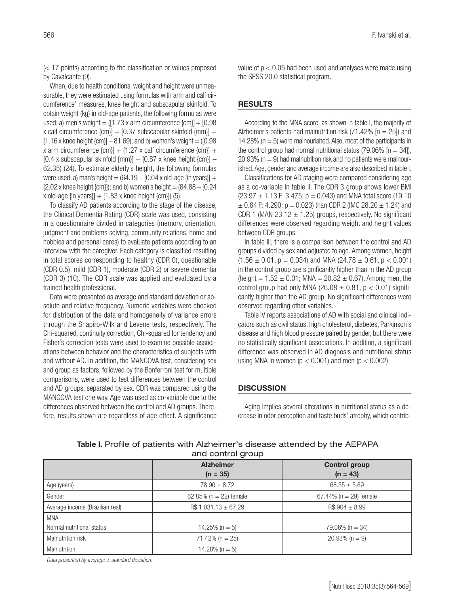When, due to health conditions, weight and height were unmeasurable, they were estimated using formulas with arm and calf circumference' measures, knee height and subscapular skinfold. To obtain weight (kg) in old-age patients, the following formulas were used: a) men's weight  $= (1.73 \times \text{arm circumference } \{\text{cm}\}\] + [0.98 \times \text{cm}]\}$ x calf circumference  $\text{[cm]} + \text{[0.37 subscapular skinfold [mm]]} +$  $[1.16 \times$  knee height  $\{cm\}$  – 81.69); and b) women's weight = ( $[0.98$ ) x arm circumference  $\{\text{cm}\}$  + [1.27 x calf circumference  $\{\text{cm}\}$  +  $[0.4 \times$  subscapular skinfold  ${mm}$ ] +  $[0.87 \times$  knee height  ${cm}$ ] – 62.35) (24). To estimate elderly's height, the following formulas were used: a) man's height  $= (64.19 - 10.04 \times 10^{14} \text{ m})$  were used: a)  $[2.02 \times$  knee height {cm}]); and b) women's height =  $(84.88 - 10.24)$ x old-age  $\{\text{in years}\}$  +  $[1.83 \times \text{knee height} \cdot \text{[cm]}]$  (5).

To classify AD patients according to the stage of the disease, the Clinical Dementia Rating (CDR) scale was used, consisting in a questionnaire divided in categories (memory, orientation, judgment and problems solving, community relations, home and hobbies and personal cares) to evaluate patients according to an interview with the caregiver. Each category is classified resulting in total scores corresponding to healthy (CDR 0), questionable (CDR 0.5), mild (CDR 1), moderate (CDR 2) or severe dementia (CDR 3) (10). The CDR scale was applied and evaluated by a trained health professional.

Data were presented as average and standard deviation or absolute and relative frequency. Numeric variables were checked for distribution of the data and homogeneity of variance errors through the Shapiro-Wilk and Levene tests, respectively. The Chi-squared, continuity correction, Chi-squared for tendency and Fisher's correction tests were used to examine possible associations between behavior and the characteristics of subjects with and without AD. In addition, the MANCOVA test, considering sex and group as factors, followed by the Bonferroni test for multiple comparisons, were used to test differences between the control and AD groups, separated by sex. CDR was compared using the MANCOVA test one way. Age was used as co-variable due to the differences observed between the control and AD groups. Therefore, results shown are regardless of age effect. A significance value of  $p < 0.05$  had been used and analyses were made using the SPSS 20.0 statistical program.

#### RESULTS

According to the MNA score, as shown in table I, the majority of Alzheimer's patients had malnutrition risk (71.42% [n = 25]) and 14.28% ( $n = 5$ ) were malnourished. Also, most of the participants in the control group had normal nutritional status (79.06%  $[n = 34]$ ),  $20.93\%$  (n = 9) had malnutrition risk and no patients were malnourished. Age, gender and average income are also described in table I.

Classifications for AD staging were compared considering age as a co-variable in table II. The CDR 3 group shows lower BMI  $(23.97 \pm 1.13 \text{ F}$ : 3.475;  $p = 0.043$ ) and MNA total score (19.10  $\pm$  0.84 F: 4.290; p = 0.023) than CDR 2 (IMC 28.20  $\pm$  1.24) and CDR 1 (MAN 23.12  $\pm$  1.25) groups, respectively. No significant differences were observed regarding weight and height values between CDR groups.

In table III, there is a comparison between the control and AD groups divided by sex and adjusted to age. Among women, height  $(1.56 \pm 0.01, p = 0.034)$  and MNA  $(24.78 \pm 0.61, p < 0.001)$ in the control group are significantly higher than in the AD group (height =  $1.52 \pm 0.01$ ; MNA =  $20.82 \pm 0.67$ ). Among men, the control group had only MNA (26.08  $\pm$  0.81, p < 0.01) significantly higher than the AD group. No significant differences were observed regarding other variables.

Table IV reports associations of AD with social and clinical indicators such as civil status, high cholesterol, diabetes, Parkinson's disease and high blood pressure paired by gender, but there were no statistically significant associations. In addition, a significant difference was observed in AD diagnosis and nutritional status using MNA in women ( $p < 0.001$ ) and men ( $p < 0.002$ ).

#### **DISCUSSION**

Aging implies several alterations in nutritional status as a decrease in odor perception and taste buds' atrophy, which contrib-

| and control group               |                                |                                    |  |  |  |  |  |
|---------------------------------|--------------------------------|------------------------------------|--|--|--|--|--|
|                                 | <b>Alzheimer</b><br>$(n = 35)$ | <b>Control group</b><br>$(n = 43)$ |  |  |  |  |  |
| Age (years)                     | $78.90 \pm 8.72$               | $68.35 \pm 5.69$                   |  |  |  |  |  |
| Gender                          | 62.85% ( $n = 22$ ) female     | 67.44% ( $n = 29$ ) female         |  |  |  |  |  |
| Average income (Brazilian real) | $R$1,031.13 \pm 67.29$         | $R$904 \pm 8.99$                   |  |  |  |  |  |
| <b>MNA</b>                      |                                |                                    |  |  |  |  |  |
| Normal nutritional status       | 14.25% ( $n = 5$ )             | $79.06\%$ (n = 34)                 |  |  |  |  |  |
| Malnutrition risk               | $71.42\%$ (n = 25)             | $20.93\%$ (n = 9)                  |  |  |  |  |  |
| Malnutrition                    | 14.28% ( $n = 5$ )             |                                    |  |  |  |  |  |

Table I. Profile of patients with Alzheimer's disease attended by the AEPAPA and control group

*Data presented by average ± standard deviation.*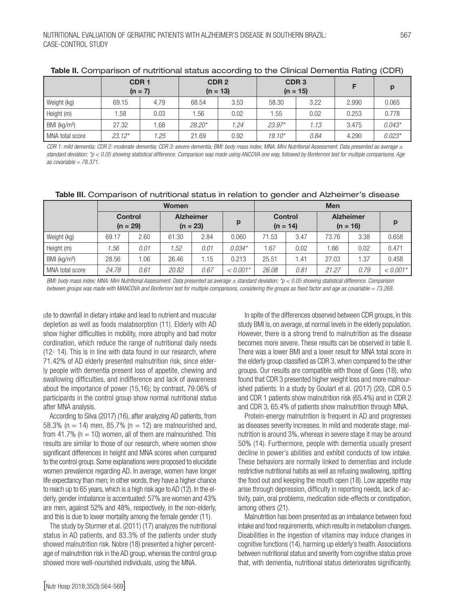|                          | CDR <sub>1</sub><br>$(n = 7)$ |      |          | CDR <sub>2</sub><br>$(n = 13)$ |          | CDR <sub>3</sub><br>$(n = 15)$ |       |          |
|--------------------------|-------------------------------|------|----------|--------------------------------|----------|--------------------------------|-------|----------|
| Weight (kg)              | 69.15                         | 4.79 | 68.54    | 3.53                           | 58.30    | 3.22                           | 2.990 | 0.065    |
| Height (m)               | 1.58                          | 0.03 | .56      | 0.02                           | .55      | 0.02                           | 0.253 | 0.778    |
| BMI (kg/m <sup>2</sup> ) | 27.32                         | .68  | $28.20*$ | 1.24                           | $23.97*$ | 1.13                           | 3.475 | $0.043*$ |
| MNA total score          | $23.12*$                      | 1.25 | 21.69    | 0.92                           | $19.10*$ | 0.84                           | 4.290 | $0.023*$ |

| Table II. Comparison of nutritional status according to the Clinical Dementia Rating (CDR) |  |
|--------------------------------------------------------------------------------------------|--|
|                                                                                            |  |

*CDR 1: mild dementia; CDR 2: moderate dementia; CDR 3: severe dementia; BMI: body mass index; MNA: Mini Nutritional Assessment. Data presented as average ± standard deviation; \*p < 0.05 showing statistical difference. Comparison was made using ANCOVA one way, followed by Bonferroni test for multiple comparisons. Age as covariable = 78.371.*

| Table III. Comparison of nutritional status in relation to gender and Alzheimer's disease |  |
|-------------------------------------------------------------------------------------------|--|
|-------------------------------------------------------------------------------------------|--|

|                          | <b>Women</b> |                              |                                |      |            | <b>Men</b>                   |      |                                |      |            |  |
|--------------------------|--------------|------------------------------|--------------------------------|------|------------|------------------------------|------|--------------------------------|------|------------|--|
|                          |              | <b>Control</b><br>$(n = 29)$ | <b>Alzheimer</b><br>$(n = 23)$ |      | р          | <b>Control</b><br>$(n = 14)$ |      | <b>Alzheimer</b><br>$(n = 16)$ |      | p          |  |
| Weight (kg)              | 69.17        | 2.60                         | 61.30                          | 2.84 | 0.060      | 71.53                        | 3.47 | 73.76                          | 3.38 | 0.658      |  |
| Height (m)               | 1.56         | 0.01                         | 1.52                           | 0.01 | $0.034*$   | 1.67                         | 0.02 | 1.66                           | 0.02 | 0.471      |  |
| BMI (kg/m <sup>2</sup> ) | 28.56        | 0.06                         | 26.46                          | 1.15 | 0.213      | 25.51                        | 1.41 | 27.03                          | .37  | 0.458      |  |
| MNA total score          | 24.78        | 0.61                         | 20.82                          | 0.67 | $< 0.001*$ | 26.08                        | 0.81 | 21.27                          | 0.79 | $< 0.001*$ |  |

*BMI: body mass index; MNA: Mini Nutritional Assessment. Data presented as average ± standard deviation; \*p < 0.05 showing statistical difference. Comparison between groups was made with MANCOVA and Bonferroni test for multiple comparisons, considering the groups as fixed factor and age as covariable = 73.268.*

ute to downfall in dietary intake and lead to nutrient and muscular depletion as well as foods malabsorption (11). Elderly with AD show higher difficulties in mobility, more atrophy and bad motor cordination, which reduce the range of nutritional daily needs (12- 14). This is in line with data found in our research, where 71.42% of AD elderly presented malnutrition risk, since elderly people with dementia present loss of appetite, chewing and swallowing difficulties, and indifference and lack of awareness about the importance of power (15,16); by contrast, 79.06% of participants in the control group show normal nutritional status after MNA analysis.

According to Silva (2017) (16), after analyzing AD patients, from 58.3% (n = 14) men, 85.7% (n = 12) are malnourished and, from 41.7% ( $n = 10$ ) women, all of them are malnourished. This results are similar to those of our research, where women show significant differences in height and MNA scores when compared to the control group. Some explanations were proposed to elucidate women prevalence regarding AD. In average, women have longer life expectancy than men; in other words, they have a higher chance to reach up to 65 years, which is a high risk age to AD (12). In the elderly, gender imbalance is accentuated: 57% are women and 43% are men, against 52% and 48%, respectively, in the non-elderly, and this is due to lower mortality among the female gender (11).

The study by Sturmer et al. (2011) (17) analyzes the nutritional status in AD patients, and 83.3% of the patients under study showed malnutrition risk. Nobre (18) presented a higher percentage of malnutrition risk in the AD group, whereas the control group showed more well-nourished individuals, using the MNA.

In spite of the differences observed between CDR groups, in this study BMI is, on average, at normal levels in the elderly population. However, there is a strong trend to malnutrition as the disease becomes more severe. These results can be observed in table II. There was a lower BMI and a lower result for MNA total score in the elderly group classified as CDR 3, when compared to the other groups. Our results are compatible with those of Goes (18), who found that CDR 3 presented higher weight loss and more malnourished patients. In a study by Goulart et al. (2017) (20), CDR 0.5 and CDR 1 patients show malnutrition risk (65.4%) and in CDR 2 and CDR 3, 65.4% of patients show malnutrition through MNA.

Protein-energy malnutrition is frequent in AD and progresses as diseases severity increases. In mild and moderate stage, malnutrition is around 3%, whereas in severe stage it may be around 50% (14). Furthermore, people with dementia usually present decline in power's abilities and exhibit conducts of low intake. These behaviors are normally linked to dementias and include restrictive nutritional habits as well as refusing swallowing, spitting the food out and keeping the mouth open (18). Low appetite may arise through depression, difficulty in reporting needs, lack of activity, pain, oral problems, medication side-effects or constipation, among others (21).

Malnutrition has been presented as an imbalance between food intake and food requirements, which results in metabolism changes. Disabilities in the ingestion of vitamins may induce changes in cognitive functions (14), harming up elderly's health. Associations between nutritional status and severity from cognitive status prove that, with dementia, nutritional status deteriorates significantly.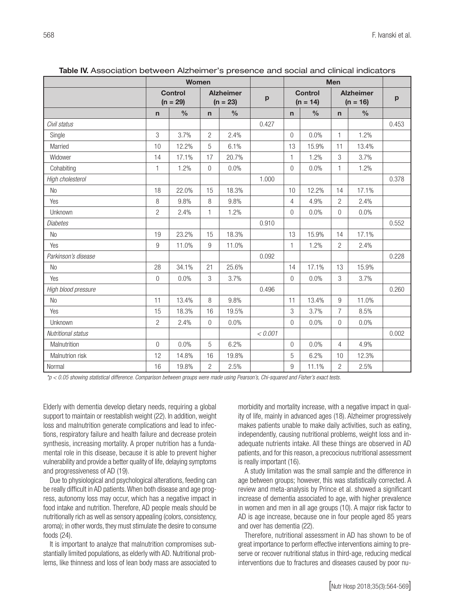|                     |                | <b>Women</b>                 |                |                                |              | <b>Men</b>                   |       |                                |       |              |
|---------------------|----------------|------------------------------|----------------|--------------------------------|--------------|------------------------------|-------|--------------------------------|-------|--------------|
|                     |                | <b>Control</b><br>$(n = 29)$ |                | <b>Alzheimer</b><br>$(n = 23)$ | $\mathbf{p}$ | <b>Control</b><br>$(n = 14)$ |       | <b>Alzheimer</b><br>$(n = 16)$ |       | $\mathbf{p}$ |
|                     | $\mathsf{n}$   | $\frac{0}{0}$                | $\mathsf{n}$   | $\%$                           |              | $\mathsf{n}$                 | $\%$  | $\mathsf{n}$                   | $\%$  |              |
| Civil status        |                |                              |                |                                | 0.427        |                              |       |                                |       | 0.453        |
| Single              | $\mathfrak{Z}$ | 3.7%                         | 2              | 2.4%                           |              | $\Omega$                     | 0.0%  | 1                              | 1.2%  |              |
| Married             | 10             | 12.2%                        | 5              | 6.1%                           |              | 13                           | 15.9% | 11                             | 13.4% |              |
| Widower             | 14             | 17.1%                        | 17             | 20.7%                          |              | $\mathbf{1}$                 | 1.2%  | 3                              | 3.7%  |              |
| Cohabiting          | $\mathbf{1}$   | 1.2%                         | 0              | 0.0%                           |              | $\mathbf 0$                  | 0.0%  | 1                              | 1.2%  |              |
| High cholesterol    |                |                              |                |                                | 1.000        |                              |       |                                |       | 0.378        |
| <b>No</b>           | 18             | 22.0%                        | 15             | 18.3%                          |              | 10                           | 12.2% | 14                             | 17.1% |              |
| Yes                 | 8              | 9.8%                         | 8              | 9.8%                           |              | 4                            | 4.9%  | $\overline{c}$                 | 2.4%  |              |
| Unknown             | $\overline{c}$ | 2.4%                         | 1              | 1.2%                           |              | 0                            | 0.0%  | $\overline{0}$                 | 0.0%  |              |
| <b>Diabetes</b>     |                |                              |                |                                | 0.910        |                              |       |                                |       | 0.552        |
| N <sub>0</sub>      | 19             | 23.2%                        | 15             | 18.3%                          |              | 13                           | 15.9% | 14                             | 17.1% |              |
| Yes                 | $9\,$          | 11.0%                        | 9              | 11.0%                          |              | 1                            | 1.2%  | 2                              | 2.4%  |              |
| Parkinson's disease |                |                              |                |                                | 0.092        |                              |       |                                |       | 0.228        |
| <b>No</b>           | 28             | 34.1%                        | 21             | 25.6%                          |              | 14                           | 17.1% | 13                             | 15.9% |              |
| Yes                 | $\overline{0}$ | 0.0%                         | 3              | 3.7%                           |              | $\overline{0}$               | 0.0%  | 3                              | 3.7%  |              |
| High blood pressure |                |                              |                |                                | 0.496        |                              |       |                                |       | 0.260        |
| N <sub>o</sub>      | 11             | 13.4%                        | 8              | 9.8%                           |              | 11                           | 13.4% | $9\,$                          | 11.0% |              |
| Yes                 | 15             | 18.3%                        | 16             | 19.5%                          |              | 3                            | 3.7%  | $\overline{7}$                 | 8.5%  |              |
| Unknown             | $\overline{2}$ | 2.4%                         | $\Omega$       | 0.0%                           |              | $\overline{0}$               | 0.0%  | $\Omega$                       | 0.0%  |              |
| Nutritional status  |                |                              |                |                                | < 0.001      |                              |       |                                |       | 0.002        |
| Malnutrition        | $\mathbf 0$    | 0.0%                         | 5              | 6.2%                           |              | $\overline{0}$               | 0.0%  | $\overline{4}$                 | 4.9%  |              |
| Malnutrion risk     | 12             | 14.8%                        | 16             | 19.8%                          |              | 5                            | 6.2%  | 10                             | 12.3% |              |
| Normal              | 16             | 19.8%                        | $\overline{2}$ | 2.5%                           |              | 9                            | 11.1% | $\overline{2}$                 | 2.5%  |              |

Table IV. Association between Alzheimer's presence and social and clinical indicators

*\*p < 0.05 showing statistical difference. Comparison between groups were made using Pearson's, Chi-squared and Fisher's exact tests.*

Elderly with dementia develop dietary needs, requiring a global support to maintain or reestablish weight (22). In addition, weight loss and malnutrition generate complications and lead to infections, respiratory failure and health failure and decrease protein synthesis, increasing mortality. A proper nutrition has a fundamental role in this disease, because it is able to prevent higher vulnerability and provide a better quality of life, delaying symptoms and progressiveness of AD (19).

Due to physiological and psychological alterations, feeding can be really difficult in AD patients. When both disease and age progress, autonomy loss may occur, which has a negative impact in food intake and nutrition. Therefore, AD people meals should be nutritionally rich as well as sensory appealing (colors, consistency, aroma); in other words, they must stimulate the desire to consume foods (24).

It is important to analyze that malnutrition compromises substantially limited populations, as elderly with AD. Nutritional problems, like thinness and loss of lean body mass are associated to morbidity and mortality increase, with a negative impact in quality of life, mainly in advanced ages (18). Alzheimer progressively makes patients unable to make daily activities, such as eating, independently, causing nutritional problems, weight loss and inadequate nutrients intake. All these things are observed in AD patients, and for this reason, a precocious nutritional assessment is really important (16).

A study limitation was the small sample and the difference in age between groups; however, this was statistically corrected. A review and meta-analysis by Prince et al. showed a significant increase of dementia associated to age, with higher prevalence in women and men in all age groups (10). A major risk factor to AD is age increase, because one in four people aged 85 years and over has dementia (22).

Therefore, nutritional assessment in AD has shown to be of great importance to perform effective interventions aiming to preserve or recover nutritional status in third-age, reducing medical interventions due to fractures and diseases caused by poor nu-